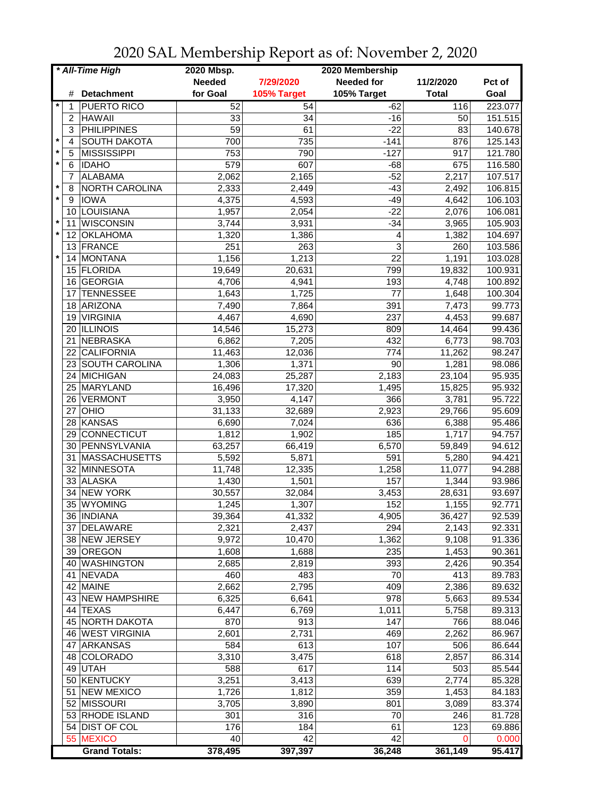| * All-Time High |                |                      | 2020 Mbsp.      |             | 2020 Membership   |                 |         |
|-----------------|----------------|----------------------|-----------------|-------------|-------------------|-----------------|---------|
|                 |                |                      | <b>Needed</b>   | 7/29/2020   | <b>Needed for</b> | 11/2/2020       | Pct of  |
|                 | #              | <b>Detachment</b>    | for Goal        | 105% Target | 105% Target       | <b>Total</b>    | Goal    |
|                 | 1              | PUERTO RICO          | 52              | 54          | $-62$             | 116             | 223.077 |
|                 | $\overline{2}$ | <b>HAWAII</b>        | 33              | 34          | $-16$             | 50              | 151.515 |
|                 | 3              | <b>PHILIPPINES</b>   | $\overline{59}$ | 61          | $-22$             | $\overline{83}$ | 140.678 |
| $\ast$          | 4              | <b>SOUTH DAKOTA</b>  | 700             | 735         | $-141$            | 876             | 125.143 |
| $^\star$        | 5              | <b>MISSISSIPPI</b>   | 753             | 790         | $-127$            | 917             | 121.780 |
| $\star$         | 6              | <b>IDAHO</b>         | 579             | 607         | $-68$             | 675             | 116.580 |
|                 | 7              | ALABAMA              |                 |             | $-52$             | 2,217           | 107.517 |
| $\star$         | 8              |                      | 2,062<br>2,333  | 2,165       | $-43$             |                 |         |
| $\star$         |                | NORTH CAROLINA       |                 | 2,449       |                   | 2,492           | 106.815 |
|                 | 9              | <b>IOWA</b>          | 4,375           | 4,593       | $-49$             | 4,642           | 106.103 |
| $\star$         | 10             | LOUISIANA            | 1,957           | 2,054       | $-22$             | 2,076           | 106.081 |
| $\star$         | 11             | <b>WISCONSIN</b>     | 3,744           | 3,931       | $-34$             | 3,965           | 105.903 |
|                 | 12             | <b>OKLAHOMA</b>      | 1,320           | 1,386       | 4                 | 1,382           | 104.697 |
|                 |                | 13 FRANCE            | 251             | 263         | 3                 | 260             | 103.586 |
| $\star$         | 14             | MONTANA              | 1,156           | 1,213       | 22                | 1,191           | 103.028 |
|                 | 15             | FLORIDA              | 19,649          | 20,631      | 799               | 19,832          | 100.931 |
|                 | 16             | GEORGIA              | 4,706           | 4,941       | 193               | 4,748           | 100.892 |
|                 | 17             | <b>TENNESSEE</b>     | 1,643           | 1,725       | 77                | 1,648           | 100.304 |
|                 | 18             | ARIZONA              | 7,490           | 7,864       | 391               | 7,473           | 99.773  |
|                 | 19             | <b>VIRGINIA</b>      | 4,467           | 4,690       | 237               | 4,453           | 99.687  |
|                 |                | 20 ILLINOIS          | 14,546          | 15,273      | 809               | 14,464          | 99.436  |
|                 |                | 21 NEBRASKA          | 6,862           | 7,205       | 432               | 6,773           | 98.703  |
|                 |                | 22 CALIFORNIA        | 11,463          | 12,036      | 774               | 11,262          | 98.247  |
|                 |                | 23 SOUTH CAROLINA    | 1,306           | 1,371       | $\overline{90}$   | 1,281           | 98.086  |
|                 |                | 24 MICHIGAN          | 24,083          | 25,287      | 2,183             | 23,104          | 95.935  |
|                 | 25             | MARYLAND             | 16,496          | 17,320      | 1,495             | 15,825          | 95.932  |
|                 | 26             | VERMONT              | 3,950           | 4,147       | 366               | 3,781           | 95.722  |
|                 | 27             | <b>OHIO</b>          | 31,133          | 32,689      | 2,923             | 29,766          | 95.609  |
|                 | 28             | KANSAS               | 6,690           | 7,024       | 636               | 6,388           | 95.486  |
|                 | 29             | CONNECTICUT          | 1,812           | 1,902       | 185               | 1,717           | 94.757  |
|                 |                | 30 PENNSYLVANIA      | 63,257          | 66,419      | 6,570             | 59,849          | 94.612  |
|                 | 31             | <b>MASSACHUSETTS</b> | 5,592           | 5,871       | 591               | 5,280           | 94.421  |
|                 |                | 32 MINNESOTA         | 11,748          | 12,335      | 1,258             | 11,077          | 94.288  |
|                 | 33             | <b>ALASKA</b>        | 1,430           | 1,501       | 157               | 1,344           | 93.986  |
|                 | 34             | <b>NEW YORK</b>      | 30,557          | 32,084      | 3,453             | 28,631          | 93.697  |
|                 | 35             | <b>WYOMING</b>       | 1,245           | 1,307       | 152               | 1,155           | 92.771  |
|                 |                | 36   INDIANA         | 39,364          | 41,332      | 4,905             | 36,427          | 92.539  |
|                 |                | 37 DELAWARE          | 2,321           | 2,437       | 294               | 2,143           | 92.331  |
|                 |                | 38 NEW JERSEY        | 9,972           | 10,470      | 1,362             | 9,108           | 91.336  |
|                 |                | 39 OREGON            | 1,608           | 1,688       | 235               | 1,453           | 90.361  |
|                 |                |                      |                 |             |                   |                 |         |
|                 |                | 40 WASHINGTON        | 2,685           | 2,819       | 393               | 2,426           | 90.354  |
|                 |                | 41 NEVADA            | 460             | 483         | 70                | 413             | 89.783  |
|                 |                | 42 MAINE             | 2,662           | 2,795       | 409               | 2,386           | 89.632  |
|                 |                | 43 NEW HAMPSHIRE     | 6,325           | 6,641       | 978               | 5,663           | 89.534  |
|                 |                | 44 TEXAS             | 6,447           | 6,769       | 1,011             | 5,758           | 89.313  |
|                 |                | 45 NORTH DAKOTA      | 870             | 913         | 147               | 766             | 88.046  |
|                 |                | 46 WEST VIRGINIA     | 2,601           | 2,731       | 469               | 2,262           | 86.967  |
|                 | 47             | ARKANSAS             | 584             | 613         | 107               | 506             | 86.644  |
|                 |                | 48 COLORADO          | 3,310           | 3,475       | 618               | 2,857           | 86.314  |
|                 |                | 49 UTAH              | 588             | 617         | 114               | 503             | 85.544  |
|                 |                | 50 KENTUCKY          | 3,251           | 3,413       | 639               | 2,774           | 85.328  |
|                 |                | 51 NEW MEXICO        | 1,726           | 1,812       | 359               | 1,453           | 84.183  |
|                 |                | 52 MISSOURI          | 3,705           | 3,890       | 801               | 3,089           | 83.374  |
|                 |                | 53 RHODE ISLAND      | 301             | 316         | 70                | 246             | 81.728  |
|                 |                | 54 DIST OF COL       | 176             | 184         | 61                | 123             | 69.886  |
|                 |                | 55 MEXICO            | 40              | 42          | $\overline{42}$   | 0               | 0.000   |
|                 |                | <b>Grand Totals:</b> | 378,495         | 397,397     | 36,248            | 361,149         | 95.417  |

2020 SAL Membership Report as of: November 2, 2020